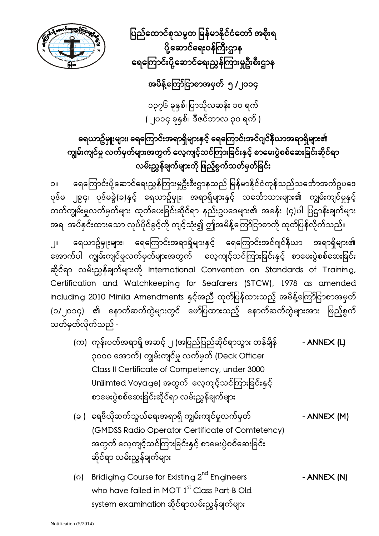

ပြည်ထောင်စုသမ္မတ မြန်မာနိုင်ငံတော် အစိုးရ ပို့ဆောင်ရေးဝန်ကြီးဌာန ရေကြောင်းပို့ဆောင်ရေးညွှန်ကြားမှုဦးစီးဌာန

## အမိန့်ကြော်ငြာစာအမှတ် ၅ /၂၀၁၄

၁၃၇၆ ခုနှစ်၊ ပြာသိုလဆန်း ၁၀ ရက် ( ၂၀၁၄ ခုနှစ်၊ ဒီဇင်ဘာလ ၃၀ ရက် )

# ရေယာဥ်မျုးများ၊ ရေကြောင်းအရာရှိများနှင့် ရေကြောင်းအင်ဂျင်နီယာအရာရှိများ၏ ကျွမ်းကျင်မှု လက်မှတ်များအတွက် လေ့ကျင့်သင်ကြားခြင်းနှင့် စာမေးပွဲစစ်ဆေးခြင်းဆိုင်ရာ လမ်းညွှန်ချက်များကို ဖြည့်စွက်သတ်မှတ်ခြင်း

၁။ ေရေကြောင်းပို့ဆောင်ရေးညွှန်ကြားမှုဦးစီးဌာနသည် မြန်မာနိုင်ငံကုန်သည်သင်္ဘောအက်ဥပဒေ ပုဒ်မ ၂၉၄၊ ပုဒ်မခွဲ(ခ)နှင့် ရေယာဥ်မှုုး၊ အရာရှိများနှင့် သင်္ဘောသားများ၏ ကျွမ်းကျင်မှုနှင့် တတ်ကျွမ်းမှုလက်မှတ်များ ထုတ်ပေးခြင်းဆိုင်ရာ နည်းဥပဒေများ၏ အခန်း (၄)ပါ ပြဋ္ဌာန်းချက်များ အရ အပ်နှင်းထားသော လုပ်ပိုင်ခွင့်ကို ကျင့်သုံး၍ ဤအမိန့်ကြော်ငြာစာကို ထုတ်ပြန်လိုက်သည်။

၂။ ရေယာဥ်မျုးများ၊ ရေကြောင်းအရာရှိများနှင့် ရေကြောင်းအင်ဂျင်နီယာ အရာရှိများ၏ အောက်ပါ ကျွမ်းကျင်မှုလက်မှတ်များအတွက် လေ့ကျင့်သင်ကြားခြင်းနှင့် စာမေးပွဲစစ်ဆေးခြင်း ဆိုင်ရာ လမ်းညွှန်ချက်များကိ ု International Convention on Standards of Training, Certification and Watchkeeping for Seafarers (STCW), 1978 as amended including 2010 Minila Amendments နှင့်အညီ ထုတ်ပြန်ထားသည့် အမိန့်ကြော်ငြာစာအမှတ် (၁/၂၀၁၄) ၏ နောက်ဆက်တွဲများတွင် ဖော်ပြထားသည့် နောက်ဆက်တွဲများအား ဖြည့်စွက် သတ်မှတ်လိုက်သည် -

- (က) ကုန်းပတ်အရာရှိ အဆင့် ၂ (အပြည်ပြည်ဆိုင်ရာသွား တန်ချိန် ANNEX (L) ၃၀၀၀ ေအာက်) ကျွမ်းကျင်မှု လက်မှတ် (Deck Officer Class II Certificate of Competency, under 3000 Unliimted Voyage) အတွက် လေ့ကျင့်သင်ကြားခြင်းနှင့် စာေမးပွဲစစ်ေဆးခြ င်းဆိုင်ရာ လမ်းညွှန်ချက်များ
- (ခ ) ေရဒီယိုဆက်သွယ်ေရးအရာရှိ ကျွမ်းကျင်မှုလက်မှတ် ANNEX (M) (GMDSS Radio Operator Certificate of Comtetency) အတွက် လေ့ကျင့်သင်ကြားခြင်းနှင့် စာမေးပွဲစစ်ဆေးခြင်း ဆိုင်ရာ လမ်းညွှန်ချက်များ
- (o) Bridiging Course for Existing  $2^{nd}$  Engineers ANNEX (N) who have failed in MOT 1<sup>st</sup> Class Part-B Old system examination ဆိုင်ရာလမ်းညွှန်ချက်များ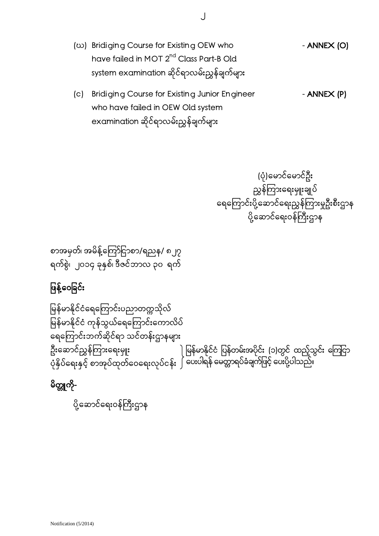- (ω) Bridiging Course for Existing OEW who ANNEX (O) have failed in MOT 2<sup>nd</sup> Class Part-B Old system examination ဆိုင်ရာလမ်းညွှန်ချက်များ
- (c) Bridiging Course for Existing Junior Engineer ANNEX (P) who have failed in OEW Old system examination ဆိုင်ရာလမ်းညွှန်ချက်များ

 (ပုံ)ေမာင်ေမာင်ဦး ညွှန်ကြားရေးမှူးချုပ် ရေကြောင်းပို့ဆောင်ရေးညွှန်ကြားမှုဦးစီးဌာန ပို့ဆောင်ရေးဝန်ကြီးဌာန

စာအမှတ်၊ အမိန့်ကြော်ငြာစာ/ရညန/ ၈၂၇ ရက်စွဲ၊ ၂၀၁၄ ခုနှစ်၊ ဒီဇင်ဘာလ ၃၀ ရက်

# ဖြန့်ဝေခြင်း

ြမန်မာနိုင်ငံေရေကြ ာင်းပညာတက္ကသိုလ် မြန်မာနိုင်ငံ ကုန်သွယ်ရေကြောင်းကောလိပ် ေရေကြ ာင်းဘက်ဆိုင်ရာ သင်တန်းဌာနများ ဦးဆောင်ညွှန်ကြားရေးမှူး ပုံနှိပ်ေရးနှင့် စာအုပ်ထုတ်ေဝေရးလုပ်ငန်း မြန်မာနိုင်ငံ ပြန်တမ်းအပိုင်း (၁)တွင် ထည့်သွင်း ကြေငှာ ပေးပါရန် မေတ္တာရပ်ခံချက်ဖြင့် ပေးပို့ပါသည်။

မိတ္တူကို-

ပို့ဆောင်ရေးဝန်ကြီးဌာန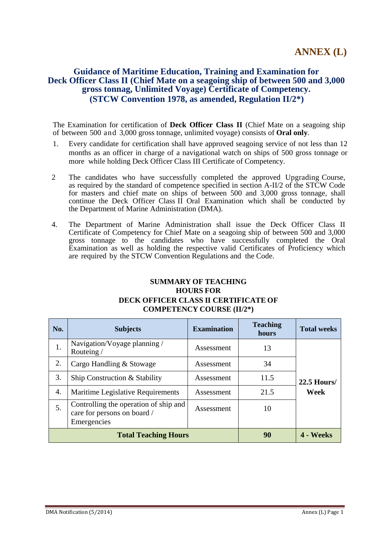#### **Guidance of Maritime Education, Training and Examination for Deck Officer Class II (Chief Mate on a seagoing ship of between 500 and 3,000 gross tonnag, Unlimited Voyage) Certificate of Competency. (STCW Convention 1978, as amended, Regulation II/2\*)**

The Examination for certification of **Deck Officer Class II** (Chief Mate on a seagoing ship of between 500 and 3,000 gross tonnage, unlimited voyage) consists of **Oral only**.

- 1. Every candidate for certification shall have approved seagoing service of not less than 12 months as an officer in charge of a navigational watch on ships of 500 gross tonnage or more while holding Deck Officer Class III Certificate of Competency.
- 2 The candidates who have successfully completed the approved Upgrading Course, as required by the standard of competence specified in section A-II/2 of the STCW Code for masters and chief mate on ships of between 500 and 3,000 gross tonnage, shall continue the Deck Officer Class II Oral Examination which shall be conducted by the Department of Marine Administration (DMA).
- 4. The Department of Marine Administration shall issue the Deck Officer Class II Certificate of Competency for Chief Mate on a seagoing ship of between 500 and 3,000 gross tonnage to the candidates who have successfully completed the Oral Examination as well as holding the respective valid Certificates of Proficiency which are required by the STCW Convention Regulations and the Code.

#### **SUMMARY OF TEACHING HOURS FOR DECK OFFICER CLASS II CERTIFICATE OF COMPETENCY COURSE (II/2\*)**

| No. | <b>Subjects</b>                                                                     | <b>Examination</b> | <b>Teaching</b><br>hours | <b>Total weeks</b> |
|-----|-------------------------------------------------------------------------------------|--------------------|--------------------------|--------------------|
| 1.  | Navigation/Voyage planning /<br>Routeing/                                           | Assessment         | 13                       |                    |
| 2.  | Cargo Handling & Stowage                                                            | Assessment         | 34                       |                    |
| 3.  | Ship Construction & Stability                                                       | Assessment         | 11.5                     | <b>22.5 Hours/</b> |
| 4.  | Maritime Legislative Requirements                                                   | Assessment         | 21.5                     | Week               |
| 5.  | Controlling the operation of ship and<br>care for persons on board /<br>Emergencies | Assessment         | 10                       |                    |
|     | <b>Total Teaching Hours</b>                                                         | 90                 | 4 - Weeks                |                    |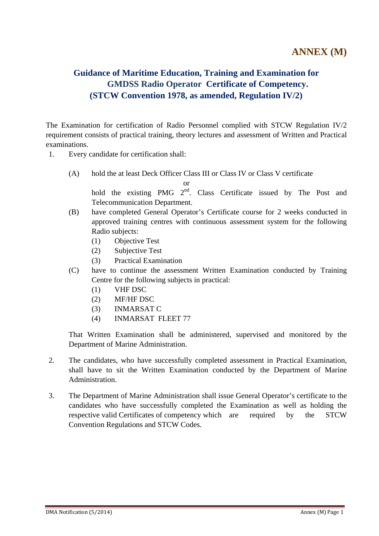## **Guidance of Maritime Education, Training and Examination for GMDSS Radio Operator Certificate of Competency. (STCW Convention 1978, as amended, Regulation IV/2)**

The Examination for certification of Radio Personnel complied with STCW Regulation IV/2 requirement consists of practical training, theory lectures and assessment of Written and Practical examinations.

- 1. Every candidate for certification shall:
	- (A) hold the at least Deck Officer Class III or Class IV or Class V certificate

or

hold the existing PMG  $2<sup>nd</sup>$ . Class Certificate issued by The Post and Telecommunication Department.

- (B) have completed General Operator's Certificate course for 2 weeks conducted in approved training centres with continuous assessment system for the following Radio subjects:
	- (1) Objective Test
	- (2) Subjective Test
	- (3) Practical Examination
- (C) have to continue the assessment Written Examination conducted by Training Centre for the following subjects in practical:
	- (1) VHF DSC
	- (2) MF/HF DSC
	- (3) INMARSAT C
	- (4) INMARSAT FLEET 77

 That Written Examination shall be administered, supervised and monitored by the Department of Marine Administration.

- 2. The candidates, who have successfully completed assessment in Practical Examination, shall have to sit the Written Examination conducted by the Department of Marine Administration.
- 3. The Department of Marine Administration shall issue General Operator's certificate to the candidates who have successfully completed the Examination as well as holding the respective valid Certificates of competency which are required by the STCW Convention Regulations and STCW Codes.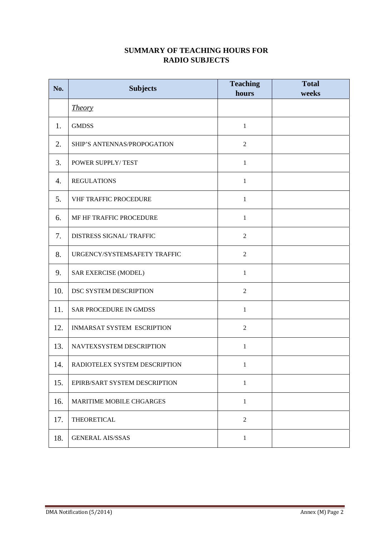#### **SUMMARY OF TEACHING HOURS FOR RADIO SUBJECTS**

| No. | <b>Subjects</b>               | <b>Teaching</b><br>hours | <b>Total</b><br>weeks |
|-----|-------------------------------|--------------------------|-----------------------|
|     | <i>Theory</i>                 |                          |                       |
| 1.  | <b>GMDSS</b>                  | $\mathbf{1}$             |                       |
| 2.  | SHIP'S ANTENNAS/PROPOGATION   | $\overline{2}$           |                       |
| 3.  | POWER SUPPLY/TEST             | $\mathbf{1}$             |                       |
| 4.  | <b>REGULATIONS</b>            | $\mathbf{1}$             |                       |
| 5.  | VHF TRAFFIC PROCEDURE         | $\mathbf{1}$             |                       |
| 6.  | MF HF TRAFFIC PROCEDURE       | $\mathbf{1}$             |                       |
| 7.  | DISTRESS SIGNAL/TRAFFIC       | 2                        |                       |
| 8.  | URGENCY/SYSTEMSAFETY TRAFFIC  | $\overline{2}$           |                       |
| 9.  | SAR EXERCISE (MODEL)          | $\mathbf{1}$             |                       |
| 10. | DSC SYSTEM DESCRIPTION        | $\overline{2}$           |                       |
| 11. | SAR PROCEDURE IN GMDSS        | $\mathbf{1}$             |                       |
| 12. | INMARSAT SYSTEM ESCRIPTION    | $\overline{2}$           |                       |
| 13. | NAVTEXSYSTEM DESCRIPTION      | $\mathbf{1}$             |                       |
| 14. | RADIOTELEX SYSTEM DESCRIPTION | $\mathbf{1}$             |                       |
| 15. | EPIRB/SART SYSTEM DESCRIPTION | $\mathbf{1}$             |                       |
| 16. | MARITIME MOBILE CHGARGES      | $\mathbf{1}$             |                       |
| 17. | THEORETICAL                   | $\overline{2}$           |                       |
| 18. | <b>GENERAL AIS/SSAS</b>       | $\mathbf{1}$             |                       |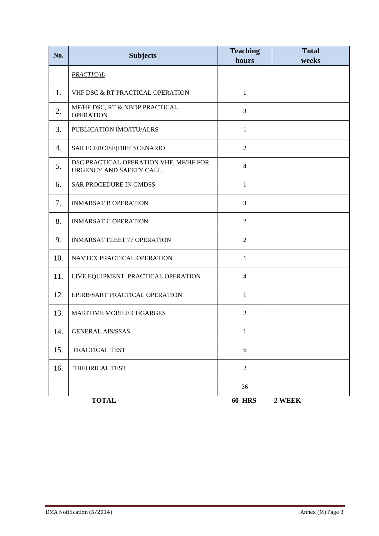| No. | <b>Subjects</b>                                                   | <b>Teaching</b><br>hours | <b>Total</b><br>weeks |
|-----|-------------------------------------------------------------------|--------------------------|-----------------------|
|     | <b>PRACTICAL</b>                                                  |                          |                       |
| 1.  | VHF DSC & RT PRACTICAL OPERATION                                  | $\mathbf{1}$             |                       |
| 2.  | MF/HF DSC, RT & NBDP PRACTICAL<br><b>OPERATION</b>                | 3                        |                       |
| 3.  | PUBLICATION IMO/ITU/ALRS                                          | $\mathbf{1}$             |                       |
| 4.  | SAR ECERCISE(DIFF SCENARIO                                        | $\overline{2}$           |                       |
| 5.  | DSC PRACTICAL OPERATION VHF, MF/HF FOR<br>URGENCY AND SAFETY CALL | $\overline{4}$           |                       |
| 6.  | <b>SAR PROCEDURE IN GMDSS</b>                                     | $\mathbf{1}$             |                       |
| 7.  | <b>INMARSAT B OPERATION</b>                                       | 3                        |                       |
| 8.  | <b>INMARSAT C OPERATION</b>                                       | $\overline{2}$           |                       |
| 9.  | <b>INMARSAT FLEET 77 OPERATION</b>                                | $\overline{2}$           |                       |
| 10. | NAVTEX PRACTICAL OPERATION                                        | $\mathbf{1}$             |                       |
| 11. | LIVE EQUIPMENT PRACTICAL OPERATION                                | $\overline{4}$           |                       |
| 12. | EPIRB/SART PRACTICAL OPERATION                                    | 1                        |                       |
| 13. | <b>MARITIME MOBILE CHGARGES</b>                                   | $\overline{2}$           |                       |
| 14. | <b>GENERAL AIS/SSAS</b>                                           | $\mathbf{1}$             |                       |
| 15. | PRACTICAL TEST                                                    | 6                        |                       |
| 16. | THEORICAL TEST                                                    | $\mathbf{2}$             |                       |
|     |                                                                   | 36                       |                       |
|     | <b>TOTAL</b>                                                      | <b>60 HRS</b>            | 2 WEEK                |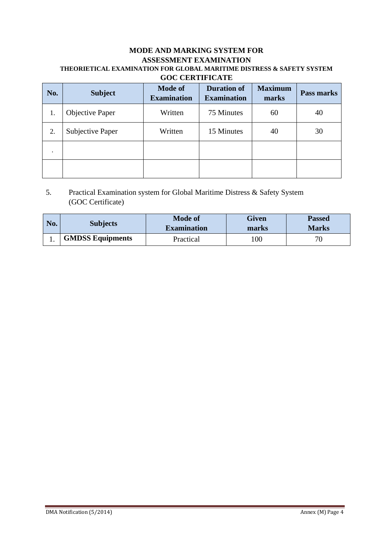#### **MODE AND MARKING SYSTEM FOR ASSESSMENT EXAMINATION THEORIETICAL EXAMINATION FOR GLOBAL MARITIME DISTRESS & SAFETY SYSTEM GOC CERTIFICATE**

| No. | <b>Subject</b>         | <b>Mode of</b><br><b>Examination</b> | <b>Duration of</b><br><b>Examination</b> | <b>Maximum</b><br>marks | Pass marks |
|-----|------------------------|--------------------------------------|------------------------------------------|-------------------------|------------|
| 1.  | <b>Objective Paper</b> | Written                              | 75 Minutes                               | 60                      | 40         |
| 2.  | Subjective Paper       | Written                              | 15 Minutes                               | 40                      | 30         |
|     |                        |                                      |                                          |                         |            |
|     |                        |                                      |                                          |                         |            |

### 5. Practical Examination system for Global Maritime Distress & Safety System (GOC Certificate)

| No. | <b>Subjects</b>         | <b>Mode of</b><br><b>Examination</b> | <b>Given</b><br>marks | <b>Passed</b><br><b>Marks</b> |
|-----|-------------------------|--------------------------------------|-----------------------|-------------------------------|
|     | <b>GMDSS Equipments</b> | Practical                            | 100                   | 70                            |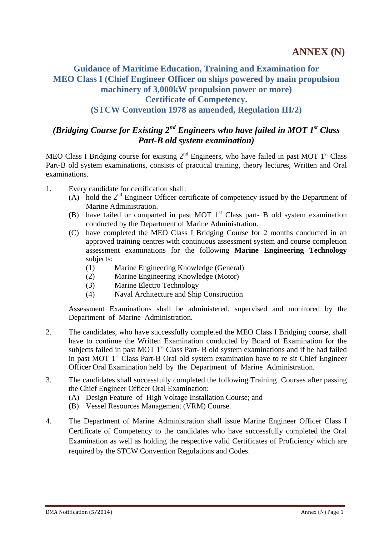## **Guidance of Maritime Education, Training and Examination for MEO Class I (Chief Engineer Officer on ships powered by main propulsion machinery of 3,000kW propulsion power or more) Certificate of Competency. (STCW Convention 1978 as amended, Regulation III/2)**

## *(Bridging Course for Existing 2nd Engineers who have failed in MOT 1st Class Part-B old system examination)*

MEO Class I Bridging course for existing  $2<sup>nd</sup>$  Engineers, who have failed in past MOT 1<sup>st</sup> Class Part-B old system examinations, consists of practical training, theory lectures, Written and Oral examinations.

- 1. Every candidate for certification shall:
	- (A) hold the  $2<sup>nd</sup>$  Engineer Officer certificate of competency issued by the Department of Marine Administration.
	- (B) have failed or comparted in past MOT  $1<sup>st</sup>$  Class part- B old system examination conducted by the Department of Marine Administration.
	- (C) have completed the MEO Class I Bridging Course for 2 months conducted in an approved training centres with continuous assessment system and course completion assessment examinations for the following **Marine Engineering Technology**  subjects:
		- (1) Marine Engineering Knowledge (General)
		- (2) Marine Engineering Knowledge (Motor)
		- (3) Marine Electro Technology
		- (4) Naval Architecture and Ship Construction

Assessment Examinations shall be administered, supervised and monitored by the Department of Marine Administration.

- 2. The candidates, who have successfully completed the MEO Class I Bridging course, shall have to continue the Written Examination conducted by Board of Examination for the subjects failed in past MOT 1<sup>st</sup> Class Part- B old system examinations and if he had failed in past MOT  $1<sup>st</sup>$  Class Part-B Oral old system examination have to re sit Chief Engineer Officer Oral Examination held by the Department of Marine Administration.
- 3. The candidates shall successfully completed the following Training Courses after passing the Chief Engineer Officer Oral Examination:
	- (A) Design Feature of High Voltage Installation Course; and
	- (B) Vessel Resources Management (VRM) Course.
- 4. The Department of Marine Administration shall issue Marine Engineer Officer Class I Certificate of Competency to the candidates who have successfully completed the Oral Examination as well as holding the respective valid Certificates of Proficiency which are required by the STCW Convention Regulations and Codes.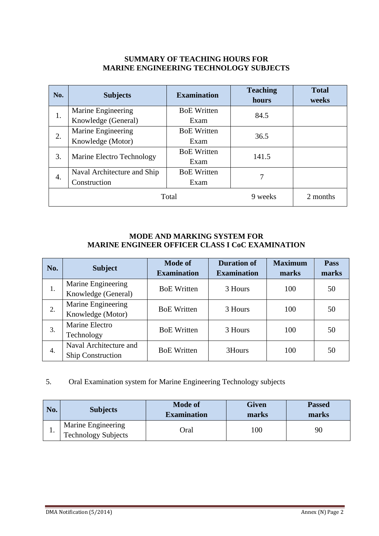#### **SUMMARY OF TEACHING HOURS FOR MARINE ENGINEERING TECHNOLOGY SUBJECTS**

| No.   | <b>Subjects</b>             | <b>Examination</b> | <b>Teaching</b><br>hours | <b>Total</b><br>weeks |
|-------|-----------------------------|--------------------|--------------------------|-----------------------|
| 1.    | Marine Engineering          | <b>BoE</b> Written | 84.5                     |                       |
|       | Knowledge (General)         | Exam               |                          |                       |
| 2.    | Marine Engineering          | <b>BoE</b> Written | 36.5                     |                       |
|       | Knowledge (Motor)           | Exam               |                          |                       |
|       | Marine Electro Technology   | <b>BoE</b> Written | 141.5                    |                       |
| 3.    |                             | Exam               |                          |                       |
|       | Naval Architecture and Ship | <b>BoE</b> Written |                          |                       |
| 4.    | Construction<br>Exam        |                    |                          |                       |
| Total |                             |                    | 9 weeks                  | 2 months              |

#### **MODE AND MARKING SYSTEM FOR MARINE ENGINEER OFFICER CLASS I CoC EXAMINATION**

| No. | <b>Subject</b>                                     | <b>Mode of</b><br><b>Examination</b> | <b>Duration of</b><br><b>Examination</b> | <b>Maximum</b><br>marks | <b>Pass</b><br>marks |
|-----|----------------------------------------------------|--------------------------------------|------------------------------------------|-------------------------|----------------------|
| 1.  | Marine Engineering<br>Knowledge (General)          | <b>BoE</b> Written                   | 3 Hours                                  | 100                     | 50                   |
| 2.  | Marine Engineering<br>Knowledge (Motor)            | <b>BoE</b> Written                   | 3 Hours                                  | 100                     | 50                   |
| 3.  | Marine Electro<br>Technology                       | <b>BoE</b> Written                   | 3 Hours                                  | 100                     | 50                   |
| 4.  | Naval Architecture and<br><b>Ship Construction</b> | <b>BoE</b> Written                   | 3Hours                                   | 100                     | 50                   |

#### 5. Oral Examination system for Marine Engineering Technology subjects

| No. | <b>Subjects</b>                                  | <b>Mode of</b><br><b>Examination</b> | <b>Given</b><br>marks | <b>Passed</b><br>marks |
|-----|--------------------------------------------------|--------------------------------------|-----------------------|------------------------|
| ı.  | Marine Engineering<br><b>Technology Subjects</b> | Oral                                 | 100                   | 90                     |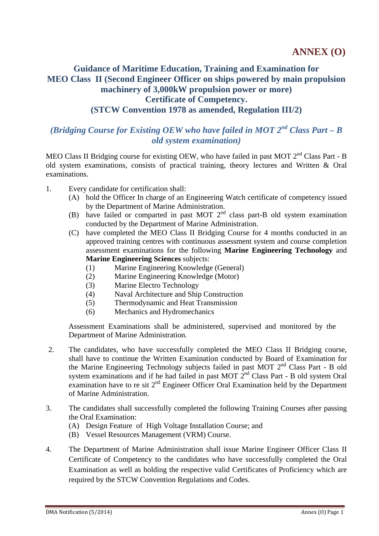## **Guidance of Maritime Education, Training and Examination for MEO Class II (Second Engineer Officer on ships powered by main propulsion machinery of 3,000kW propulsion power or more) Certificate of Competency. (STCW Convention 1978 as amended, Regulation III/2)**

## *(Bridging Course for Existing OEW who have failed in MOT 2nd Class Part – B old system examination)*

MEO Class II Bridging course for existing OEW, who have failed in past MOT 2<sup>nd</sup> Class Part - B old system examinations, consists of practical training, theory lectures and Written & Oral examinations.

- 1. Every candidate for certification shall:
	- (A) hold the Officer In charge of an Engineering Watch certificate of competency issued by the Department of Marine Administration.
	- (B) have failed or comparted in past MOT  $2<sup>nd</sup>$  class part-B old system examination conducted by the Department of Marine Administration.
	- (C) have completed the MEO Class II Bridging Course for 4 months conducted in an approved training centres with continuous assessment system and course completion assessment examinations for the following **Marine Engineering Technology** and **Marine Engineering Sciences** subjects:
		- (1) Marine Engineering Knowledge (General)
		- (2) Marine Engineering Knowledge (Motor)
		- (3) Marine Electro Technology
		- (4) Naval Architecture and Ship Construction
		- (5) Thermodynamic and Heat Transmission
		- (6) Mechanics and Hydromechanics

Assessment Examinations shall be administered, supervised and monitored by the Department of Marine Administration.

- 2. The candidates, who have successfully completed the MEO Class II Bridging course, shall have to continue the Written Examination conducted by Board of Examination for the Marine Engineering Technology subjects failed in past MOT  $2<sup>nd</sup>$  Class Part - B old system examinations and if he had failed in past MOT 2<sup>nd</sup> Class Part - B old system Oral examination have to re sit  $2<sup>nd</sup>$  Engineer Officer Oral Examination held by the Department of Marine Administration.
- 3. The candidates shall successfully completed the following Training Courses after passing the Oral Examination:
	- (A) Design Feature of High Voltage Installation Course; and
	- (B) Vessel Resources Management (VRM) Course.
- 4. The Department of Marine Administration shall issue Marine Engineer Officer Class II Certificate of Competency to the candidates who have successfully completed the Oral Examination as well as holding the respective valid Certificates of Proficiency which are required by the STCW Convention Regulations and Codes.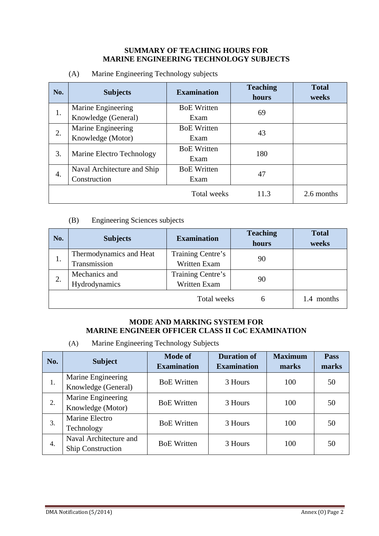#### **SUMMARY OF TEACHING HOURS FOR MARINE ENGINEERING TECHNOLOGY SUBJECTS**

| No. | <b>Subjects</b>             | <b>Examination</b> | <b>Teaching</b><br>hours | <b>Total</b><br>weeks |
|-----|-----------------------------|--------------------|--------------------------|-----------------------|
|     | Marine Engineering          | <b>BoE Written</b> | 69                       |                       |
| 1.  | Knowledge (General)         | Exam               |                          |                       |
|     | Marine Engineering          | <b>BoE</b> Written | 43                       |                       |
| 2.  | Knowledge (Motor)           | Exam               |                          |                       |
| 3.  |                             | <b>BoE</b> Written | 180                      |                       |
|     | Marine Electro Technology   | Exam               |                          |                       |
|     | Naval Architecture and Ship | <b>BoE</b> Written | 47                       |                       |
| 4.  | Construction                | Exam               |                          |                       |
|     |                             | <b>Total weeks</b> | 11.3                     | 2.6 months            |

(A) Marine Engineering Technology subjects

#### (B) Engineering Sciences subjects

| No. | <b>Subjects</b>         | <b>Examination</b> | <b>Teaching</b><br>hours | <b>Total</b><br>weeks |
|-----|-------------------------|--------------------|--------------------------|-----------------------|
|     | Thermodynamics and Heat | Training Centre's  | 90                       |                       |
| 1.  | Transmission            | Written Exam       |                          |                       |
| 2.  | Mechanics and           | Training Centre's  | 90                       |                       |
|     | Hydrodynamics           | Written Exam       |                          |                       |
|     |                         | Total weeks        | h                        | 1.4 months            |

#### **MODE AND MARKING SYSTEM FOR MARINE ENGINEER OFFICER CLASS II CoC EXAMINATION**

(A) Marine Engineering Technology Subjects

| No. | <b>Subject</b>                                     | <b>Mode of</b><br><b>Examination</b> | <b>Duration of</b><br><b>Examination</b> | <b>Maximum</b><br>marks | Pass<br>marks |
|-----|----------------------------------------------------|--------------------------------------|------------------------------------------|-------------------------|---------------|
| 1.  | Marine Engineering<br>Knowledge (General)          | <b>BoE</b> Written                   | 3 Hours                                  | 100                     | 50            |
| 2.  | Marine Engineering<br>Knowledge (Motor)            | <b>BoE</b> Written                   | 3 Hours                                  | 100                     | 50            |
| 3.  | Marine Electro<br>Technology                       | <b>BoE</b> Written                   | 3 Hours                                  | 100                     | 50            |
| 4.  | Naval Architecture and<br><b>Ship Construction</b> | <b>BoE</b> Written                   | 3 Hours                                  | 100                     | 50            |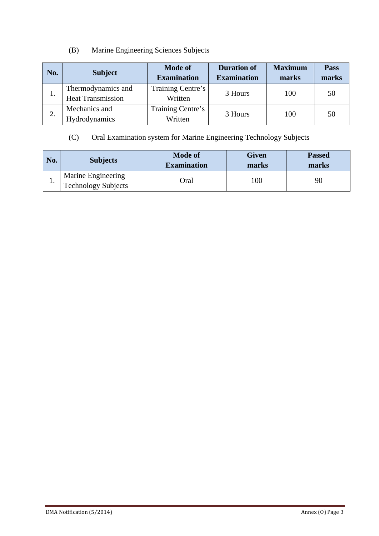## (B) Marine Engineering Sciences Subjects

| No. | <b>Subject</b>                                 | <b>Mode of</b><br><b>Examination</b> | <b>Duration of</b><br><b>Examination</b> | <b>Maximum</b><br>marks | Pass<br>marks |
|-----|------------------------------------------------|--------------------------------------|------------------------------------------|-------------------------|---------------|
| 1.  | Thermodynamics and<br><b>Heat Transmission</b> | Training Centre's<br>Written         | 3 Hours                                  | 100                     | 50            |
| 2.  | Mechanics and<br>Hydrodynamics                 | Training Centre's<br>Written         | 3 Hours                                  | 100                     | 50            |

## (C) Oral Examination system for Marine Engineering Technology Subjects

| No. | <b>Subjects</b>                           | <b>Mode of</b><br><b>Examination</b> | <b>Given</b><br>marks | <b>Passed</b><br>marks |
|-----|-------------------------------------------|--------------------------------------|-----------------------|------------------------|
| . . | Marine Engineering<br>Technology Subjects | Oral                                 | 100                   | 90                     |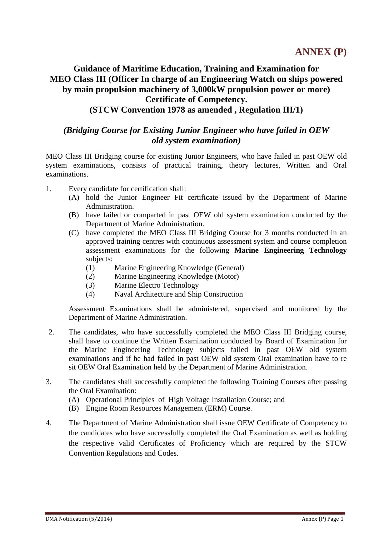### **Guidance of Maritime Education, Training and Examination for MEO Class III (Officer In charge of an Engineering Watch on ships powered by main propulsion machinery of 3,000kW propulsion power or more) Certificate of Competency. (STCW Convention 1978 as amended , Regulation III/1)**

### *(Bridging Course for Existing Junior Engineer who have failed in OEW old system examination)*

MEO Class III Bridging course for existing Junior Engineers, who have failed in past OEW old system examinations, consists of practical training, theory lectures, Written and Oral examinations.

- 1. Every candidate for certification shall:
	- (A) hold the Junior Engineer Fit certificate issued by the Department of Marine Administration.
	- (B) have failed or comparted in past OEW old system examination conducted by the Department of Marine Administration.
	- (C) have completed the MEO Class III Bridging Course for 3 months conducted in an approved training centres with continuous assessment system and course completion assessment examinations for the following **Marine Engineering Technology**  subjects:
		- (1) Marine Engineering Knowledge (General)
		- (2) Marine Engineering Knowledge (Motor)
		- (3) Marine Electro Technology
		- (4) Naval Architecture and Ship Construction

 Assessment Examinations shall be administered, supervised and monitored by the Department of Marine Administration.

- 2. The candidates, who have successfully completed the MEO Class III Bridging course, shall have to continue the Written Examination conducted by Board of Examination for the Marine Engineering Technology subjects failed in past OEW old system examinations and if he had failed in past OEW old system Oral examination have to re sit OEW Oral Examination held by the Department of Marine Administration.
- 3. The candidates shall successfully completed the following Training Courses after passing the Oral Examination:
	- (A) Operational Principles of High Voltage Installation Course; and
	- (B) Engine Room Resources Management (ERM) Course.
- 4. The Department of Marine Administration shall issue OEW Certificate of Competency to the candidates who have successfully completed the Oral Examination as well as holding the respective valid Certificates of Proficiency which are required by the STCW Convention Regulations and Codes.